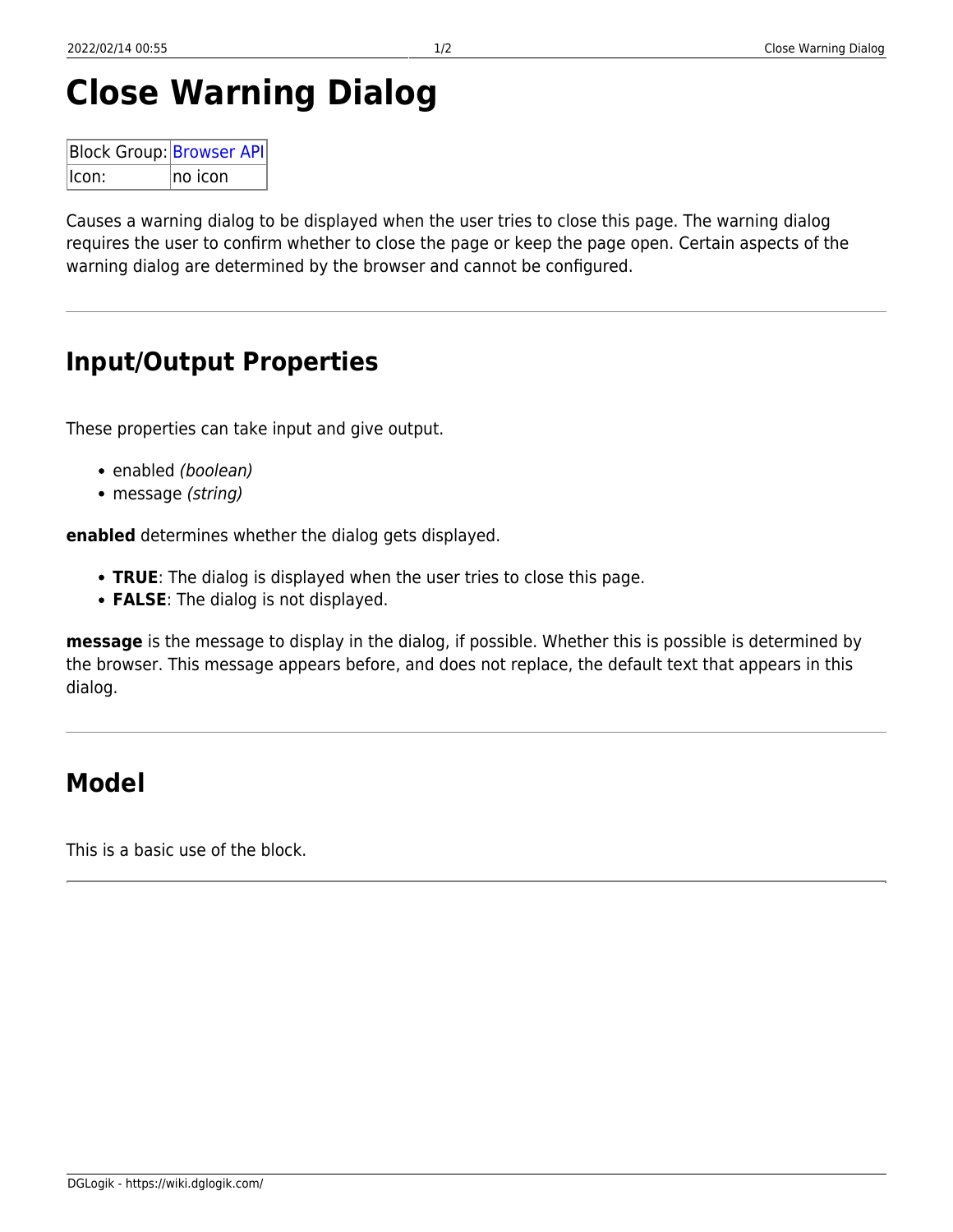# **Close Warning Dialog**

| <b>Block Group: Browser API</b> |          |  |  |
|---------------------------------|----------|--|--|
| $ l$ con:                       | Ino icon |  |  |

Causes a warning dialog to be displayed when the user tries to close this page. The warning dialog requires the user to confirm whether to close the page or keep the page open. Certain aspects of the warning dialog are determined by the browser and cannot be configured.

## **Input/Output Properties**

These properties can take input and give output.

- enabled (boolean)
- message *(string)*

**enabled** determines whether the dialog gets displayed.

- **TRUE**: The dialog is displayed when the user tries to close this page.
- **FALSE**: The dialog is not displayed.

**message** is the message to display in the dialog, if possible. Whether this is possible is determined by the browser. This message appears before, and does not replace, the default text that appears in this dialog.

### **Model**

This is a basic use of the block.